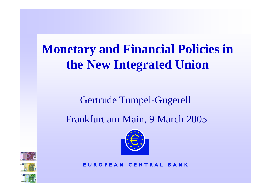# **Monetary and Financial Policies in the New Integrated Union**

### Gertrude Tumpel-Gugerell

## Frankfurt am Main, 9 March 2005







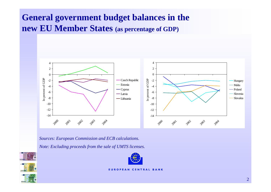#### **General government budget balances in the new EU Member States (as percentage of GDP)**



*Sources: European Commission and ECB calculati ons. Note: Excluding proceeds from the sale of UMTS licenses.*





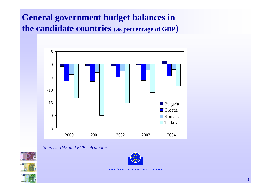#### **General government budget balances in the candidate countries (as percentage of GDP )**



*Sources: IMF and ECB calculations.*





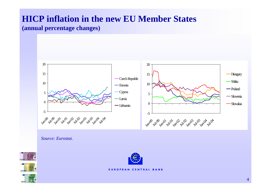## **HICP inflation in the new EU Member States**

#### **(annual percentage changes)**



*Source: Eurostat.*



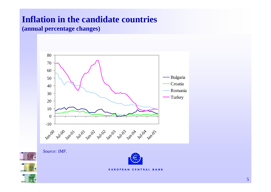#### **Inflation in the candidate countries**

**(annual percentage changes)**



*Source: IMF.*



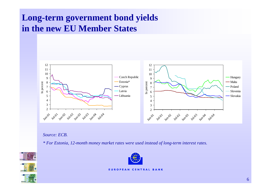#### **Long-term government bond yields in the new EU Member States**



*Source: ECB.*

*\* For Estonia, 12-month money market rates were u sed instead of long-term interest rates.*



1006

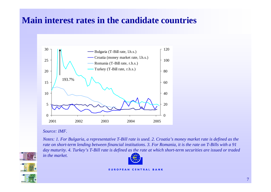#### **Main interest rates in the candidate countries**



#### *Source: IMF.*

*Notes: 1. For Bulgaria, a representative T-Bill rate is used. 2. Croatia's money market rate is defined as the rate on short-term lending between financial institutions. 3. For Romania, it is the rate on T-Bills with a 91 day maturity. 4. Turkey's T-Bill rate is d efined as the rate at which short-term securities are issued or traded in the market.*





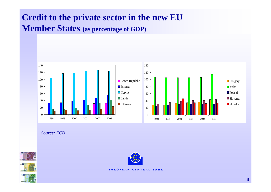#### **Credit to the private sector in the new EU Member States (as percentage of GDP)**



*Source: ECB.*





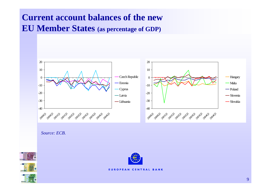#### **Current account balances of the new EU Member States (as percentage of GDP)**



*Source: ECB.*





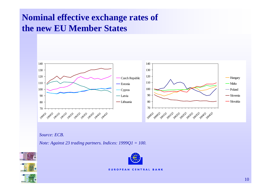### **Nominal effective exchange rates of the new EU Member States**



*Source: ECB.*

*Note: Against 23 trading partners. Indices: 1999Q1 = 100.*